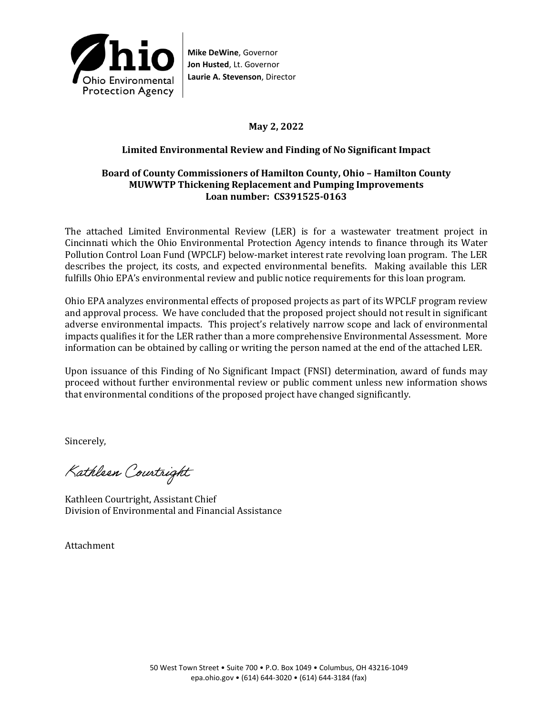

**Mike DeWine**, Governor **Jon Husted**, Lt. Governor **Laurie A. Stevenson**, Director

# **May 2, 2022**

### **Limited Environmental Review and Finding of No Significant Impact**

#### **Board of County Commissioners of Hamilton County, Ohio – Hamilton County MUWWTP Thickening Replacement and Pumping Improvements Loan number: CS391525-0163**

The attached Limited Environmental Review (LER) is for a wastewater treatment project in Cincinnati which the Ohio Environmental Protection Agency intends to finance through its Water Pollution Control Loan Fund (WPCLF) below-market interest rate revolving loan program. The LER describes the project, its costs, and expected environmental benefits. Making available this LER fulfills Ohio EPA's environmental review and public notice requirements for this loan program.

Ohio EPA analyzes environmental effects of proposed projects as part of its WPCLF program review and approval process. We have concluded that the proposed project should not result in significant adverse environmental impacts. This project's relatively narrow scope and lack of environmental impacts qualifies it for the LER rather than a more comprehensive Environmental Assessment. More information can be obtained by calling or writing the person named at the end of the attached LER.

Upon issuance of this Finding of No Significant Impact (FNSI) determination, award of funds may proceed without further environmental review or public comment unless new information shows that environmental conditions of the proposed project have changed significantly.

Sincerely,

Kathleen Courtright

Kathleen Courtright, Assistant Chief Division of Environmental and Financial Assistance

Attachment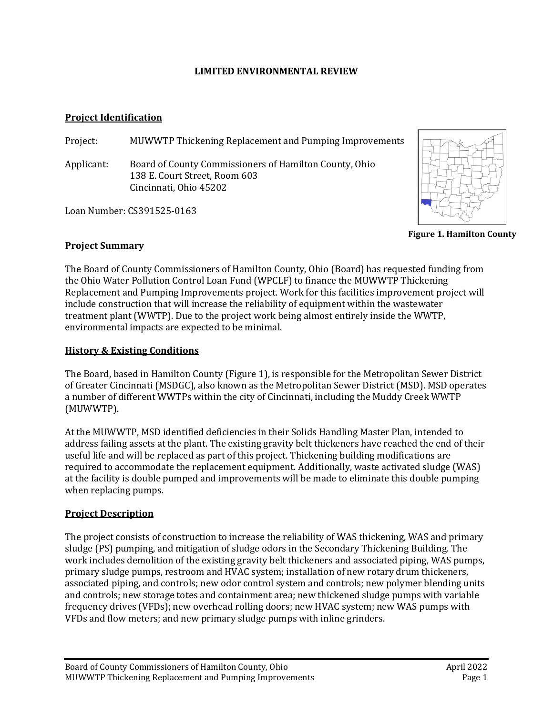#### **LIMITED ENVIRONMENTAL REVIEW**

#### **Project Identification**

Project: MUWWTP Thickening Replacement and Pumping Improvements

Applicant: Board of County Commissioners of Hamilton County, Ohio 138 E. Court Street, Room 603 Cincinnati, Ohio 45202

Loan Number: CS391525-0163



**Figure 1. Hamilton County**

### **Project Summary**

The Board of County Commissioners of Hamilton County, Ohio (Board) has requested funding from the Ohio Water Pollution Control Loan Fund (WPCLF) to finance the MUWWTP Thickening Replacement and Pumping Improvements project. Work for this facilities improvement project will include construction that will increase the reliability of equipment within the wastewater treatment plant (WWTP). Due to the project work being almost entirely inside the WWTP, environmental impacts are expected to be minimal.

### **History & Existing Conditions**

The Board, based in Hamilton County (Figure 1), is responsible for the Metropolitan Sewer District of Greater Cincinnati (MSDGC), also known as the Metropolitan Sewer District (MSD). MSD operates a number of different WWTPs within the city of Cincinnati, including the Muddy Creek WWTP (MUWWTP).

At the MUWWTP, MSD identified deficiencies in their Solids Handling Master Plan, intended to address failing assets at the plant. The existing gravity belt thickeners have reached the end of their useful life and will be replaced as part of this project. Thickening building modifications are required to accommodate the replacement equipment. Additionally, waste activated sludge (WAS) at the facility is double pumped and improvements will be made to eliminate this double pumping when replacing pumps.

## **Project Description**

The project consists of construction to increase the reliability of WAS thickening, WAS and primary sludge (PS) pumping, and mitigation of sludge odors in the Secondary Thickening Building. The work includes demolition of the existing gravity belt thickeners and associated piping, WAS pumps, primary sludge pumps, restroom and HVAC system; installation of new rotary drum thickeners, associated piping, and controls; new odor control system and controls; new polymer blending units and controls; new storage totes and containment area; new thickened sludge pumps with variable frequency drives (VFDs); new overhead rolling doors; new HVAC system; new WAS pumps with VFDs and flow meters; and new primary sludge pumps with inline grinders.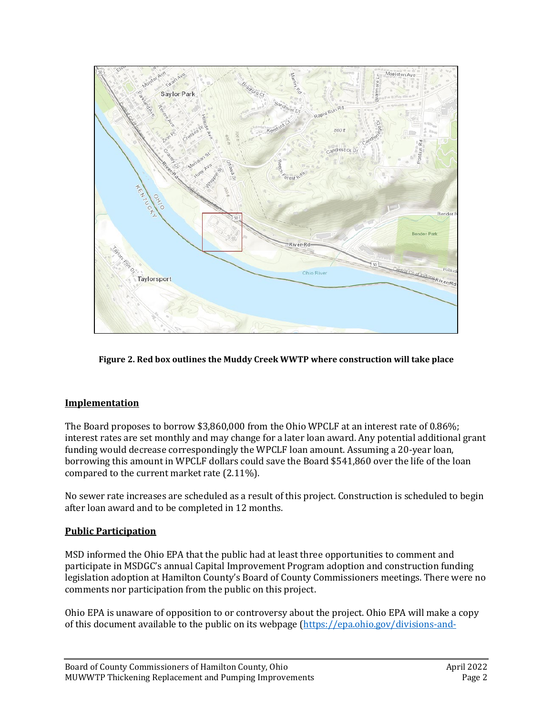

**Figure 2. Red box outlines the Muddy Creek WWTP where construction will take place**

## **Implementation**

The Board proposes to borrow \$3,860,000 from the Ohio WPCLF at an interest rate of 0.86%; interest rates are set monthly and may change for a later loan award. Any potential additional grant funding would decrease correspondingly the WPCLF loan amount. Assuming a 20-year loan, borrowing this amount in WPCLF dollars could save the Board \$541,860 over the life of the loan compared to the current market rate (2.11%).

No sewer rate increases are scheduled as a result of this project. Construction is scheduled to begin after loan award and to be completed in 12 months.

# **Public Participation**

MSD informed the Ohio EPA that the public had at least three opportunities to comment and participate in MSDGC's annual Capital Improvement Program adoption and construction funding legislation adoption at Hamilton County's Board of County Commissioners meetings. There were no comments nor participation from the public on this project.

Ohio EPA is unaware of opposition to or controversy about the project. Ohio EPA will make a copy of this document available to the public on its webpage [\(https://epa.ohio.gov/divisions-and-](https://epa.ohio.gov/divisions-and-offices/environmental-financial-assistance/announcements)